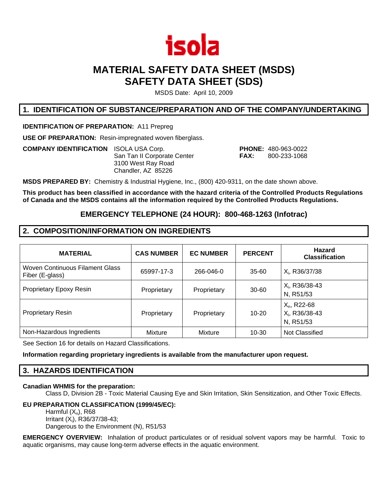

# **MATERIAL SAFETY DATA SHEET (MSDS) SAFETY DATA SHEET (SDS)**

MSDS Date: April 10, 2009

## **1. IDENTIFICATION OF SUBSTANCE/PREPARATION AND OF THE COMPANY/UNDERTAKING**

**IDENTIFICATION OF PREPARATION:** A11 Prepreg

**USE OF PREPARATION:** Resin-impregnated woven fiberglass.

**COMPANY IDENTIFICATION** ISOLA USA Corp. **PHONE:** 480-963-0022 San Tan II Corporate Center **FAX:** 800-233-1068 3100 West Ray Road Chandler, AZ 85226

**MSDS PREPARED BY:** Chemistry & Industrial Hygiene, Inc., (800) 420-9311, on the date shown above.

**This product has been classified in accordance with the hazard criteria of the Controlled Products Regulations of Canada and the MSDS contains all the information required by the Controlled Products Regulations.** 

## **EMERGENCY TELEPHONE (24 HOUR): 800-468-1263 (Infotrac)**

## **2. COMPOSITION/INFORMATION ON INGREDIENTS**

| <b>MATERIAL</b>                                    | <b>CAS NUMBER</b> | <b>EC NUMBER</b> | <b>PERCENT</b> | <b>Hazard</b><br><b>Classification</b>                    |
|----------------------------------------------------|-------------------|------------------|----------------|-----------------------------------------------------------|
| Woven Continuous Filament Glass<br>Fiber (E-glass) | 65997-17-3        | 266-046-0        | 35-60          | $X_i$ , R36/37/38                                         |
| Proprietary Epoxy Resin                            | Proprietary       | Proprietary      | $30 - 60$      | $X_i$ , R36/38-43<br>N, R51/53                            |
| <b>Proprietary Resin</b>                           | Proprietary       | Proprietary      | $10 - 20$      | $X_n$ , R22-68<br>X <sub>i</sub> , R36/38-43<br>N, R51/53 |
| Non-Hazardous Ingredients                          | Mixture           | Mixture          | $10 - 30$      | Not Classified                                            |

See Section 16 for details on Hazard Classifications.

**Information regarding proprietary ingredients is available from the manufacturer upon request.**

## **3. HAZARDS IDENTIFICATION**

#### **Canadian WHMIS for the preparation:**

Class D, Division 2B - Toxic Material Causing Eye and Skin Irritation, Skin Sensitization, and Other Toxic Effects.

### **EU PREPARATION CLASSIFICATION (1999/45/EC):**

Harmful  $(X_n)$ , R68 Irritant (Xi), R36/37/38-43; Dangerous to the Environment (N), R51/53

**EMERGENCY OVERVIEW:** Inhalation of product particulates or of residual solvent vapors may be harmful. Toxic to aquatic organisms, may cause long-term adverse effects in the aquatic environment.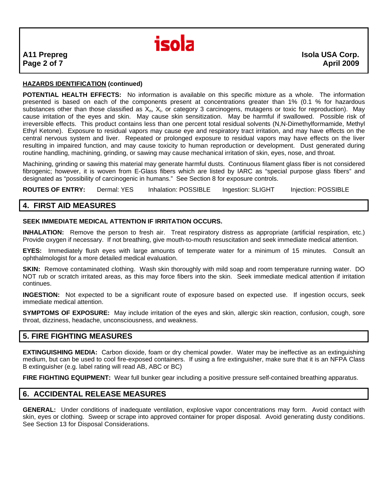

## **HAZARDS IDENTIFICATION (continued)**

**POTENTIAL HEALTH EFFECTS:** No information is available on this specific mixture as a whole. The information presented is based on each of the components present at concentrations greater than 1% (0.1 % for hazardous substances other than those classified as  $X_n$ ,  $X_i$ , or category 3 carcinogens, mutagens or toxic for reproduction). May cause irritation of the eyes and skin. May cause skin sensitization. May be harmful if swallowed. Possible risk of irreversible effects. This product contains less than one percent total residual solvents (N,N-Dimethylformamide, Methyl Ethyl Ketone). Exposure to residual vapors may cause eye and respiratory tract irritation, and may have effects on the central nervous system and liver. Repeated or prolonged exposure to residual vapors may have effects on the liver resulting in impaired function, and may cause toxicity to human reproduction or development. Dust generated during routine handling, machining, grinding, or sawing may cause mechanical irritation of skin, eyes, nose, and throat.

Machining, grinding or sawing this material may generate harmful dusts. Continuous filament glass fiber is not considered fibrogenic; however, it is woven from E-Glass fibers which are listed by IARC as "special purpose glass fibers" and designated as "possibility of carcinogenic in humans." See Section 8 for exposure controls.

**ROUTES OF ENTRY:** Dermal: YES Inhalation: POSSIBLE Ingestion: SLIGHT Injection: POSSIBLE

## **4. FIRST AID MEASURES**

#### **SEEK IMMEDIATE MEDICAL ATTENTION IF IRRITATION OCCURS.**

**INHALATION:** Remove the person to fresh air. Treat respiratory distress as appropriate (artificial respiration, etc.) Provide oxygen if necessary. If not breathing, give mouth-to-mouth resuscitation and seek immediate medical attention.

**EYES:** Immediately flush eyes with large amounts of temperate water for a minimum of 15 minutes. Consult an ophthalmologist for a more detailed medical evaluation.

**SKIN:** Remove contaminated clothing. Wash skin thoroughly with mild soap and room temperature running water. DO NOT rub or scratch irritated areas, as this may force fibers into the skin. Seek immediate medical attention if irritation continues.

**INGESTION:** Not expected to be a significant route of exposure based on expected use. If ingestion occurs, seek immediate medical attention.

**SYMPTOMS OF EXPOSURE:** May include irritation of the eyes and skin, allergic skin reaction, confusion, cough, sore throat, dizziness, headache, unconsciousness, and weakness.

### **5. FIRE FIGHTING MEASURES**

**EXTINGUISHING MEDIA:** Carbon dioxide, foam or dry chemical powder. Water may be ineffective as an extinguishing medium, but can be used to cool fire-exposed containers. If using a fire extinguisher, make sure that it is an NFPA Class B extinguisher (e.g. label rating will read AB, ABC or BC)

FIRE FIGHTING EQUIPMENT: Wear full bunker gear including a positive pressure self-contained breathing apparatus.

## **6. ACCIDENTAL RELEASE MEASURES**

**GENERAL:** Under conditions of inadequate ventilation, explosive vapor concentrations may form. Avoid contact with skin, eyes or clothing. Sweep or scrape into approved container for proper disposal. Avoid generating dusty conditions. See Section 13 for Disposal Considerations.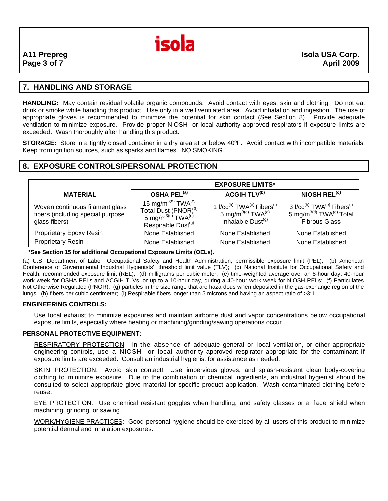

## **7. HANDLING AND STORAGE**

**HANDLING:** May contain residual volatile organic compounds. Avoid contact with eyes, skin and clothing. Do not eat drink or smoke while handling this product. Use only in a well ventilated area. Avoid inhalation and ingestion. The use of appropriate gloves is recommended to minimize the potential for skin contact (See Section 8). Provide adequate ventilation to minimize exposure. Provide proper NIOSH- or local authority-approved respirators if exposure limits are exceeded. Wash thoroughly after handling this product.

**STORAGE:** Store in a tightly closed container in a dry area at or below 40ºF. Avoid contact with incompatible materials. Keep from ignition sources, such as sparks and flames. NO SMOKING.

## **8. EXPOSURE CONTROLS/PERSONAL PROTECTION**

|                                                                                       | <b>EXPOSURE LIMITS*</b>                                                                                                                    |                                                                                                                                     |                                                                                                                                           |
|---------------------------------------------------------------------------------------|--------------------------------------------------------------------------------------------------------------------------------------------|-------------------------------------------------------------------------------------------------------------------------------------|-------------------------------------------------------------------------------------------------------------------------------------------|
| <b>MATERIAL</b>                                                                       | OSHA PEL <sup>(a)</sup>                                                                                                                    | <b>ACGIH TLV<sup>(b)</sup></b>                                                                                                      | NIOSH REL <sup>(c)</sup>                                                                                                                  |
| Woven continuous filament glass<br>fibers (including special purpose<br>glass fibers) | 15 mg/m <sup>3(d)</sup> $TWA^{(e)}$<br>Total Dust (PNOR) <sup>(f)</sup><br>5 mg/m $^{3(d)}$ TWA $^{(e)}$<br>Respirable Dust <sup>(g)</sup> | 1 f/cc <sup>(h)</sup> TWA <sup>(e)</sup> Fibers <sup>(i)</sup><br>5 mg/m <sup>3(d)</sup> TWA <sup>(e)</sup><br>Inhalable Dust $(9)$ | 3 f/cc <sup>(h)</sup> TWA <sup>(e)</sup> Fibers <sup>(i)</sup><br>5 mg/m <sup>3(d)</sup> TWA <sup>(e)</sup> Total<br><b>Fibrous Glass</b> |
| Proprietary Epoxy Resin                                                               | None Established                                                                                                                           | None Established                                                                                                                    | None Established                                                                                                                          |
| <b>Proprietary Resin</b>                                                              | None Established                                                                                                                           | None Established                                                                                                                    | None Established                                                                                                                          |

#### **\*See Section 15 for additional Occupational Exposure Limits (OELs).**

(a) U.S. Department of Labor, Occupational Safety and Health Administration, permissible exposure limit (PEL); (b) American Conference of Governmental Industrial Hygienists', threshold limit value (TLV); (c) National Institute for Occupational Safety and Health, recommended exposure limit (REL); (d) milligrams per cubic meter; (e) time-weighted average over an 8-hour day, 40-hour work week for OSHA PELs and ACGIH TLVs, or up to a 10-hour day, during a 40-hour work week for NIOSH RELs; (f) Particulates Not Otherwise Regulated (PNOR); (g) particles in the size range that are hazardous when deposited in the gas-exchange region of the lungs. (h) fibers per cubic centimeter; (i) Respirable fibers longer than 5 microns and having an aspect ratio of >3:1.

#### **ENGINEERING CONTROLS:**

Use local exhaust to minimize exposures and maintain airborne dust and vapor concentrations below occupational exposure limits, especially where heating or machining/grinding/sawing operations occur.

### **PERSONAL PROTECTIVE EQUIPMENT:**

RESPIRATORY PROTECTION: In the absence of adequate general or local ventilation, or other appropriate engineering controls, use a NIOSH- or local authority-approved respirator appropriate for the contaminant if exposure limits are exceeded. Consult an industrial hygienist for assistance as needed.

SKIN PROTECTION: Avoid skin contact! Use impervious gloves, and splash-resistant clean body-covering clothing to minimize exposure. Due to the combination of chemical ingredients, an industrial hygienist should be consulted to select appropriate glove material for specific product application. Wash contaminated clothing before reuse.

EYE PROTECTION: Use chemical resistant goggles when handling, and safety glasses or a face shield when machining, grinding, or sawing.

WORK/HYGIENE PRACTICES: Good personal hygiene should be exercised by all users of this product to minimize potential dermal and inhalation exposures.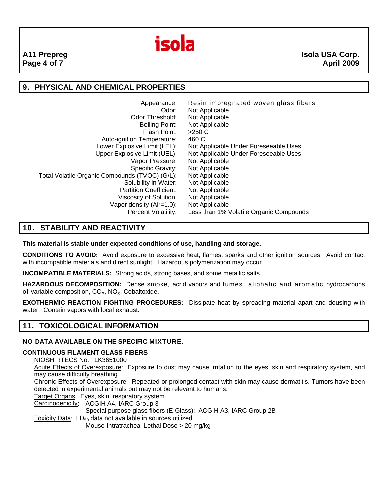

## **9. PHYSICAL AND CHEMICAL PROPERTIES**

| Appearance:                                    | Resin impregnated woven glass fibers    |
|------------------------------------------------|-----------------------------------------|
| Odor:                                          | Not Applicable                          |
| Odor Threshold:                                | Not Applicable                          |
| Boiling Point:                                 | Not Applicable                          |
| Flash Point:                                   | $>250$ C                                |
| Auto-ignition Temperature:                     | 460 C                                   |
| Lower Explosive Limit (LEL):                   | Not Applicable Under Foreseeable Uses   |
| Upper Explosive Limit (UEL):                   | Not Applicable Under Foreseeable Uses   |
| Vapor Pressure:                                | Not Applicable                          |
| Specific Gravity:                              | Not Applicable                          |
| Total Volatile Organic Compounds (TVOC) (G/L): | Not Applicable                          |
| Solubility in Water:                           | Not Applicable                          |
| <b>Partition Coefficient:</b>                  | Not Applicable                          |
| Viscosity of Solution:                         | Not Applicable                          |
| Vapor density (Air=1.0):                       | Not Applicable                          |
| Percent Volatility:                            | Less than 1% Volatile Organic Compounds |

## **10. STABILITY AND REACTIVITY**

**This material is stable under expected conditions of use, handling and storage.** 

**CONDITIONS TO AVOID:** Avoid exposure to excessive heat, flames, sparks and other ignition sources. Avoid contact with incompatible materials and direct sunlight. Hazardous polymerization may occur.

**INCOMPATIBLE MATERIALS:** Strong acids, strong bases, and some metallic salts.

**HAZARDOUS DECOMPOSITION:** Dense smoke, acrid vapors and fumes, aliphatic and aromatic hydrocarbons of variable composition,  $CO<sub>X</sub>$ , NO<sub>X</sub>, Cobaltoxide.

**EXOTHERMIC REACTION FIGHTING PROCEDURES:** Dissipate heat by spreading material apart and dousing with water. Contain vapors with local exhaust.

## **11. TOXICOLOGICAL INFORMATION**

### **NO DATA AVAILABLE ON THE SPECIFIC MIXTURE.**

### **CONTINUOUS FILAMENT GLASS FIBERS**

NIOSH RTECS No.: LK3651000

Acute Effects of Overexposure: Exposure to dust may cause irritation to the eyes, skin and respiratory system, and may cause difficulty breathing.

Chronic Effects of Overexposure: Repeated or prolonged contact with skin may cause dermatitis. Tumors have been detected in experimental animals but may not be relevant to humans.

Target Organs: Eyes, skin, respiratory system.

Carcinogenicity: ACGIH A4, IARC Group 3

Special purpose glass fibers (E-Glass): ACGIH A3, IARC Group 2B

Toxicity Data:  $LD_{50}$  data not available in sources utilized.

Mouse-Intratracheal Lethal Dose > 20 mg/kg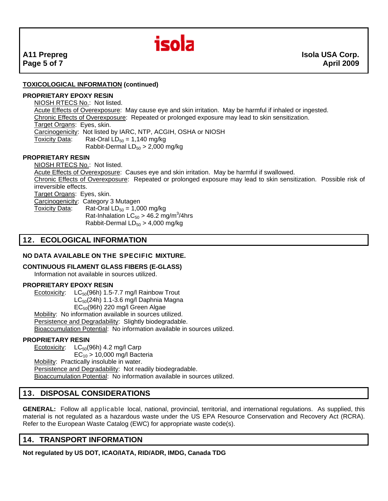

## **TOXICOLOGICAL INFORMATION (continued)**

#### **PROPRIETARY EPOXY RESIN**

NIOSH RTECS No.: Not listed. Acute Effects of Overexposure: May cause eye and skin irritation. May be harmful if inhaled or ingested. Chronic Effects of Overexposure: Repeated or prolonged exposure may lead to skin sensitization. Target Organs: Eyes, skin. Carcinogenicity: Not listed by IARC, NTP, ACGIH, OSHA or NIOSH Toxicity Data: Rat-Oral  $LD_{50} = 1,140$  mg/kg Rabbit-Dermal  $LD_{50} > 2,000$  mg/kg

#### **PROPRIETARY RESIN**

NIOSH RTECS No.: Not listed. Acute Effects of Overexposure: Causes eye and skin irritation. May be harmful if swallowed. Chronic Effects of Overexposure: Repeated or prolonged exposure may lead to skin sensitization. Possible risk of irreversible effects. Target Organs: Eyes, skin. Carcinogenicity: Category 3 Mutagen Toxicity Data: Rat-Oral  $LD_{50} = 1,000$  mg/kg Rat-Inhalation  $LC_{50} > 46.2$  mg/m<sup>3</sup>/4hrs Rabbit-Dermal  $LD_{50} > 4,000$  mg/kg

## **12. ECOLOGICAL INFORMATION**

## **NO DATA AVAILABLE ON THE SPECIFIC MIXTURE.**

#### **CONTINUOUS FILAMENT GLASS FIBERS (E-GLASS)**

Information not available in sources utilized.

#### **PROPRIETARY EPOXY RESIN**

Ecotoxicity:  $LC_{50}(96h)$  1.5-7.7 mg/l Rainbow Trout  $LC_{50}(24h)$  1.1-3.6 mg/l Daphnia Magna EC50(96h) 220 mg/l Green Algae Mobility: No information available in sources utilized. Persistence and Degradability: Slightly biodegradable. Bioaccumulation Potential: No information available in sources utilized.

#### **PROPRIETARY RESIN**

Ecotoxicity:  $LC_{50}(96h)$  4.2 mg/l Carp  $EC_{10}$  > 10,000 mg/l Bacteria Mobility: Practically insoluble in water. Persistence and Degradability: Not readily biodegradable. Bioaccumulation Potential: No information available in sources utilized.

## **13. DISPOSAL CONSIDERATIONS**

**GENERAL:** Follow all applicable local, national, provincial, territorial, and international regulations. As supplied, this material is not regulated as a hazardous waste under the US EPA Resource Conservation and Recovery Act (RCRA). Refer to the European Waste Catalog (EWC) for appropriate waste code(s).

## **14. TRANSPORT INFORMATION**

**Not regulated by US DOT, ICAO/IATA, RID/ADR, IMDG, Canada TDG**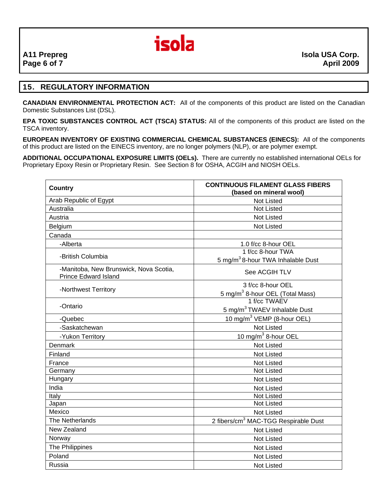

## **15. REGULATORY INFORMATION**

**CANADIAN ENVIRONMENTAL PROTECTION ACT:** All of the components of this product are listed on the Canadian Domestic Substances List (DSL).

**EPA TOXIC SUBSTANCES CONTROL ACT (TSCA) STATUS:** All of the components of this product are listed on the TSCA inventory.

**EUROPEAN INVENTORY OF EXISTING COMMERCIAL CHEMICAL SUBSTANCES (EINECS):** All of the components of this product are listed on the EINECS inventory, are no longer polymers (NLP), or are polymer exempt.

**ADDITIONAL OCCUPATIONAL EXPOSURE LIMITS (OELs).** There are currently no established international OELs for Proprietary Epoxy Resin or Proprietary Resin. See Section 8 for OSHA, ACGIH and NIOSH OELs.

| <b>Country</b>                                                        | <b>CONTINUOUS FILAMENT GLASS FIBERS</b><br>(based on mineral wool) |  |  |
|-----------------------------------------------------------------------|--------------------------------------------------------------------|--|--|
| Arab Republic of Egypt                                                | <b>Not Listed</b>                                                  |  |  |
| Australia                                                             | <b>Not Listed</b>                                                  |  |  |
| Austria                                                               | <b>Not Listed</b>                                                  |  |  |
| Belgium                                                               | <b>Not Listed</b>                                                  |  |  |
| Canada                                                                |                                                                    |  |  |
| -Alberta                                                              | 1.0 f/cc 8-hour OEL                                                |  |  |
| -British Columbia                                                     | 1 f/cc 8-hour TWA<br>5 mg/m <sup>3</sup> 8-hour TWA Inhalable Dust |  |  |
| -Manitoba, New Brunswick, Nova Scotia,<br><b>Prince Edward Island</b> | See ACGIH TLV                                                      |  |  |
| -Northwest Territory                                                  | 3 f/cc 8-hour OEL<br>5 mg/m <sup>3</sup> 8-hour OEL (Total Mass)   |  |  |
| -Ontario                                                              | 1 f/cc TWAEV                                                       |  |  |
|                                                                       | 5 mg/m <sup>3</sup> TWAEV Inhalable Dust                           |  |  |
| -Quebec                                                               | 10 mg/m <sup>3</sup> VEMP (8-hour OEL)                             |  |  |
| -Saskatchewan                                                         | Not Listed                                                         |  |  |
| -Yukon Territory                                                      | 10 mg/m $3$ 8-hour OEL                                             |  |  |
| Denmark                                                               | <b>Not Listed</b>                                                  |  |  |
| Finland                                                               | <b>Not Listed</b>                                                  |  |  |
| France                                                                | <b>Not Listed</b>                                                  |  |  |
| Germany                                                               | <b>Not Listed</b>                                                  |  |  |
| Hungary                                                               | <b>Not Listed</b>                                                  |  |  |
| India                                                                 | <b>Not Listed</b>                                                  |  |  |
| Italy                                                                 | <b>Not Listed</b>                                                  |  |  |
| Japan                                                                 | <b>Not Listed</b>                                                  |  |  |
| Mexico                                                                | <b>Not Listed</b>                                                  |  |  |
| The Netherlands                                                       | 2 fibers/cm <sup>3</sup> MAC-TGG Respirable Dust                   |  |  |
| New Zealand                                                           | <b>Not Listed</b>                                                  |  |  |
| Norway                                                                | <b>Not Listed</b>                                                  |  |  |
| The Philippines                                                       | <b>Not Listed</b>                                                  |  |  |
| Poland                                                                | <b>Not Listed</b>                                                  |  |  |
| Russia                                                                | <b>Not Listed</b>                                                  |  |  |